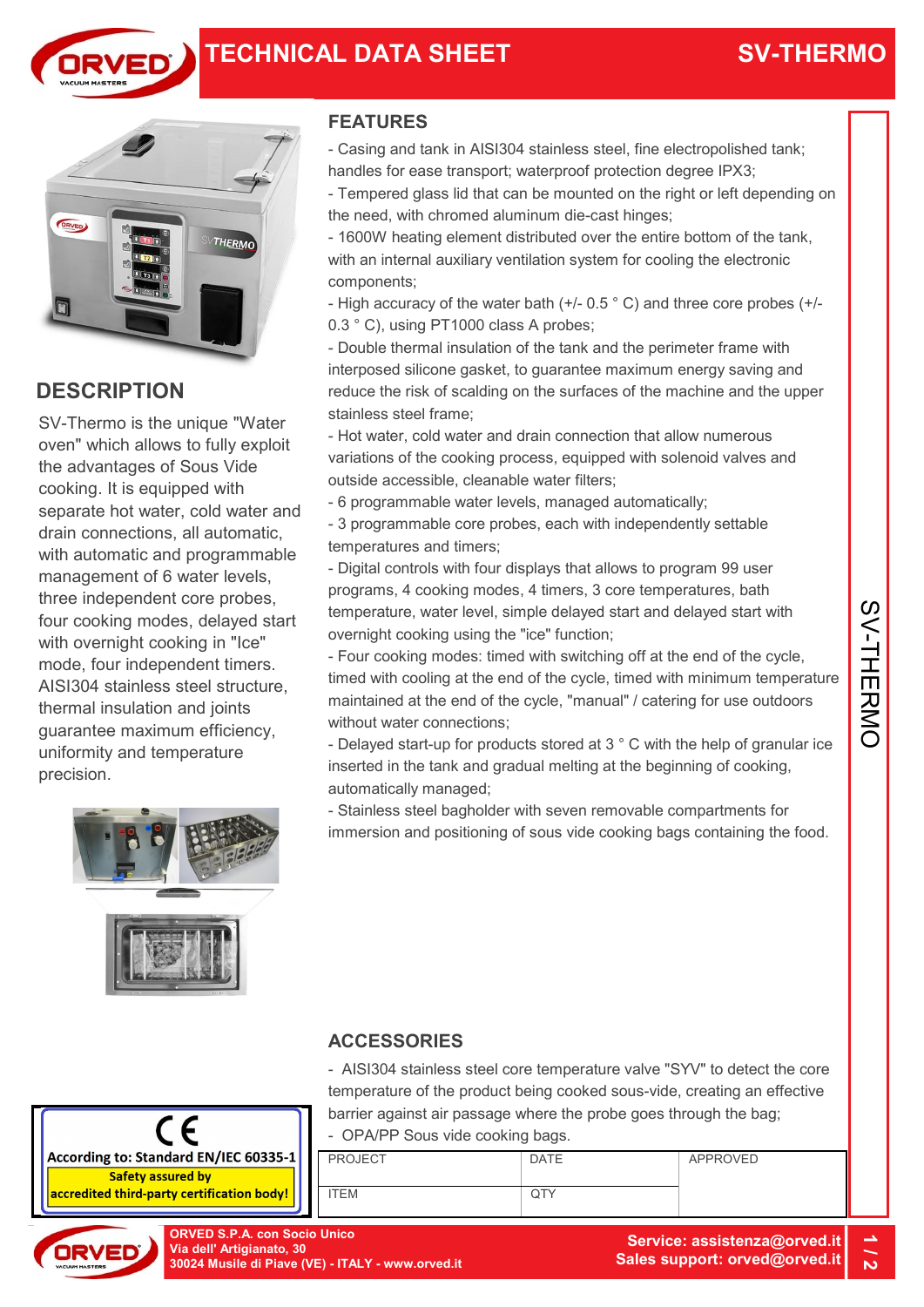





### **DESCRIPTION**

SV-Thermo is the unique "Water oven" which allows to fully exploit the advantages of Sous Vide cooking. It is equipped with separate hot water, cold water and drain connections, all automatic, with automatic and programmable management of 6 water levels, three independent core probes, four cooking modes, delayed start with overnight cooking in "Ice" mode, four independent timers. AISI304 stainless steel structure, thermal insulation and joints guarantee maximum efficiency, uniformity and temperature precision.

### FEATURES

- Casing and tank in AISI304 stainless steel, fine electropolished tank; handles for ease transport; waterproof protection degree IPX3;
- Tempered glass lid that can be mounted on the right or left depending on the need, with chromed aluminum die-cast hinges;
- 1600W heating element distributed over the entire bottom of the tank, with an internal auxiliary ventilation system for cooling the electronic components;
- High accuracy of the water bath (+/- 0.5 ° C) and three core probes (+/- 0.3 ° C), using PT1000 class A probes;
- Double thermal insulation of the tank and the perimeter frame with interposed silicone gasket, to guarantee maximum energy saving and reduce the risk of scalding on the surfaces of the machine and the upper stainless steel frame;
- Hot water, cold water and drain connection that allow numerous variations of the cooking process, equipped with solenoid valves and outside accessible, cleanable water filters;
- 6 programmable water levels, managed automatically;
- 3 programmable core probes, each with independently settable temperatures and timers;
- Digital controls with four displays that allows to program 99 user programs, 4 cooking modes, 4 timers, 3 core temperatures, bath temperature, water level, simple delayed start and delayed start with overnight cooking using the "ice" function;
- Four cooking modes: timed with switching off at the end of the cycle, timed with cooling at the end of the cycle, timed with minimum temperature maintained at the end of the cycle, "manual" / catering for use outdoors without water connections; programs, 4 cooking modes, 4 timers, 3 core temperatures, bath<br>temperature, water level, simple delayed start and delayed start with<br>overnight cooking using the "ice" function;<br>Four cooking modes: timed with switching off
- Delayed start-up for products stored at 3 ° C with the help of granular ice inserted in the tank and gradual melting at the beginning of cooking, automatically managed;
- Stainless steel bagholder with seven removable compartments for immersion and positioning of sous vide cooking bags containing the food.

- AISI304 stainless steel core temperature valve "SYV" to detect the core temperature of the product being cooked sous-vide, creating an effective barrier against air passage where the probe goes through the bag;



- OPA/PP Sous vide cooking bags.

PROJECT ITEM DATE **QTY** APPROVED